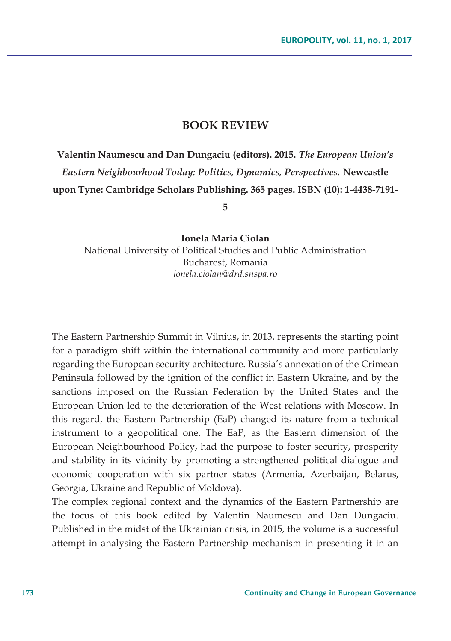## **BOOK REVIEW**

**Valentin Naumescu and Dan Dungaciu (editors). 2015.** *The European Union's Eastern Neighbourhood Today: Politics, Dynamics, Perspectives.* **Newcastle upon Tyne: Cambridge Scholars Publishing. 365 pages. ISBN (10): 1-4438-7191-**

**5** 

**Ionela Maria Ciolan**  National University of Political Studies and Public Administration Bucharest, Romania *ionela.ciolan@drd.snspa.ro* 

The Eastern Partnership Summit in Vilnius, in 2013, represents the starting point for a paradigm shift within the international community and more particularly regarding the European security architecture. Russia's annexation of the Crimean Peninsula followed by the ignition of the conflict in Eastern Ukraine, and by the sanctions imposed on the Russian Federation by the United States and the European Union led to the deterioration of the West relations with Moscow. In this regard, the Eastern Partnership (EaP) changed its nature from a technical instrument to a geopolitical one. The EaP, as the Eastern dimension of the European Neighbourhood Policy, had the purpose to foster security, prosperity and stability in its vicinity by promoting a strengthened political dialogue and economic cooperation with six partner states (Armenia, Azerbaijan, Belarus, Georgia, Ukraine and Republic of Moldova).

The complex regional context and the dynamics of the Eastern Partnership are the focus of this book edited by Valentin Naumescu and Dan Dungaciu. Published in the midst of the Ukrainian crisis, in 2015, the volume is a successful attempt in analysing the Eastern Partnership mechanism in presenting it in an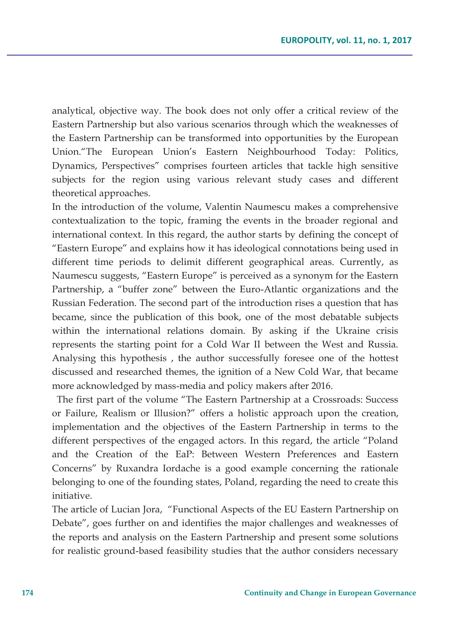analytical, objective way. The book does not only offer a critical review of the Eastern Partnership but also various scenarios through which the weaknesses of the Eastern Partnership can be transformed into opportunities by the European Union."The European Union's Eastern Neighbourhood Today: Politics, Dynamics, Perspectives" comprises fourteen articles that tackle high sensitive subjects for the region using various relevant study cases and different theoretical approaches.

In the introduction of the volume, Valentin Naumescu makes a comprehensive contextualization to the topic, framing the events in the broader regional and international context. In this regard, the author starts by defining the concept of "Eastern Europe" and explains how it has ideological connotations being used in different time periods to delimit different geographical areas. Currently, as Naumescu suggests, "Eastern Europe" is perceived as a synonym for the Eastern Partnership, a "buffer zone" between the Euro-Atlantic organizations and the Russian Federation. The second part of the introduction rises a question that has became, since the publication of this book, one of the most debatable subjects within the international relations domain. By asking if the Ukraine crisis represents the starting point for a Cold War II between the West and Russia. Analysing this hypothesis , the author successfully foresee one of the hottest discussed and researched themes, the ignition of a New Cold War, that became more acknowledged by mass-media and policy makers after 2016.

 The first part of the volume "The Eastern Partnership at a Crossroads: Success or Failure, Realism or Illusion?" offers a holistic approach upon the creation, implementation and the objectives of the Eastern Partnership in terms to the different perspectives of the engaged actors. In this regard, the article "Poland and the Creation of the EaP: Between Western Preferences and Eastern Concerns" by Ruxandra Iordache is a good example concerning the rationale belonging to one of the founding states, Poland, regarding the need to create this initiative.

The article of Lucian Jora, "Functional Aspects of the EU Eastern Partnership on Debate", goes further on and identifies the major challenges and weaknesses of the reports and analysis on the Eastern Partnership and present some solutions for realistic ground-based feasibility studies that the author considers necessary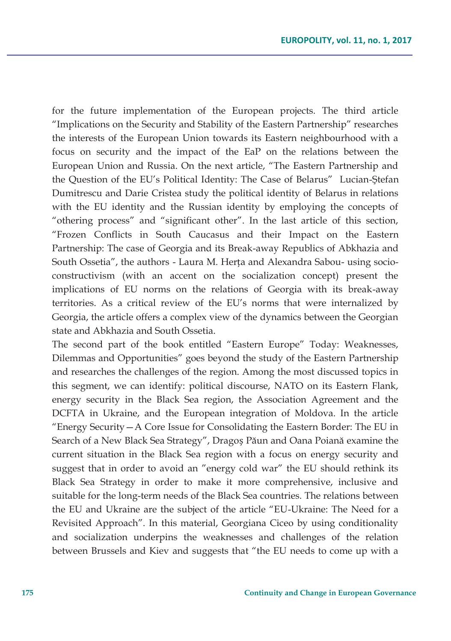for the future implementation of the European projects. The third article "Implications on the Security and Stability of the Eastern Partnership" researches the interests of the European Union towards its Eastern neighbourhood with a focus on security and the impact of the EaP on the relations between the European Union and Russia. On the next article, "The Eastern Partnership and the Question of the EU's Political Identity: The Case of Belarus" Lucian-Ştefan Dumitrescu and Darie Cristea study the political identity of Belarus in relations with the EU identity and the Russian identity by employing the concepts of "othering process" and "significant other". In the last article of this section, "Frozen Conflicts in South Caucasus and their Impact on the Eastern Partnership: The case of Georgia and its Break-away Republics of Abkhazia and South Ossetia", the authors - Laura M. Herța and Alexandra Sabou- using socioconstructivism (with an accent on the socialization concept) present the implications of EU norms on the relations of Georgia with its break-away territories. As a critical review of the EU's norms that were internalized by Georgia, the article offers a complex view of the dynamics between the Georgian state and Abkhazia and South Ossetia.

The second part of the book entitled "Eastern Europe" Today: Weaknesses, Dilemmas and Opportunities" goes beyond the study of the Eastern Partnership and researches the challenges of the region. Among the most discussed topics in this segment, we can identify: political discourse, NATO on its Eastern Flank, energy security in the Black Sea region, the Association Agreement and the DCFTA in Ukraine, and the European integration of Moldova. In the article "Energy Security—A Core Issue for Consolidating the Eastern Border: The EU in Search of a New Black Sea Strategy", Dragoș Păun and Oana Poiană examine the current situation in the Black Sea region with a focus on energy security and suggest that in order to avoid an "energy cold war" the EU should rethink its Black Sea Strategy in order to make it more comprehensive, inclusive and suitable for the long-term needs of the Black Sea countries. The relations between the EU and Ukraine are the subject of the article "EU-Ukraine: The Need for a Revisited Approach". In this material, Georgiana Ciceo by using conditionality and socialization underpins the weaknesses and challenges of the relation between Brussels and Kiev and suggests that "the EU needs to come up with a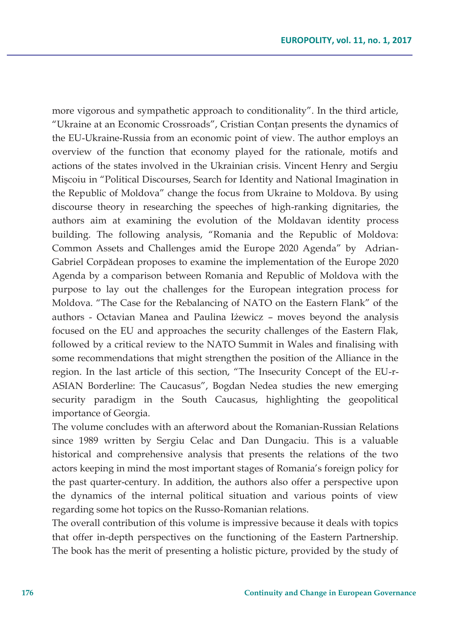more vigorous and sympathetic approach to conditionality". In the third article, "Ukraine at an Economic Crossroads", Cristian Conțan presents the dynamics of the EU-Ukraine-Russia from an economic point of view. The author employs an overview of the function that economy played for the rationale, motifs and actions of the states involved in the Ukrainian crisis. Vincent Henry and Sergiu Mişcoiu in "Political Discourses, Search for Identity and National Imagination in the Republic of Moldova" change the focus from Ukraine to Moldova. By using discourse theory in researching the speeches of high-ranking dignitaries, the authors aim at examining the evolution of the Moldavan identity process building. The following analysis, "Romania and the Republic of Moldova: Common Assets and Challenges amid the Europe 2020 Agenda" by Adrian-Gabriel Corpădean proposes to examine the implementation of the Europe 2020 Agenda by a comparison between Romania and Republic of Moldova with the purpose to lay out the challenges for the European integration process for Moldova. "The Case for the Rebalancing of NATO on the Eastern Flank" of the authors - Octavian Manea and Paulina Iżewicz – moves beyond the analysis focused on the EU and approaches the security challenges of the Eastern Flak, followed by a critical review to the NATO Summit in Wales and finalising with some recommendations that might strengthen the position of the Alliance in the region. In the last article of this section, "The Insecurity Concept of the EU-r-ASIAN Borderline: The Caucasus", Bogdan Nedea studies the new emerging security paradigm in the South Caucasus, highlighting the geopolitical importance of Georgia.

The volume concludes with an afterword about the Romanian-Russian Relations since 1989 written by Sergiu Celac and Dan Dungaciu. This is a valuable historical and comprehensive analysis that presents the relations of the two actors keeping in mind the most important stages of Romania's foreign policy for the past quarter-century. In addition, the authors also offer a perspective upon the dynamics of the internal political situation and various points of view regarding some hot topics on the Russo-Romanian relations.

The overall contribution of this volume is impressive because it deals with topics that offer in-depth perspectives on the functioning of the Eastern Partnership. The book has the merit of presenting a holistic picture, provided by the study of